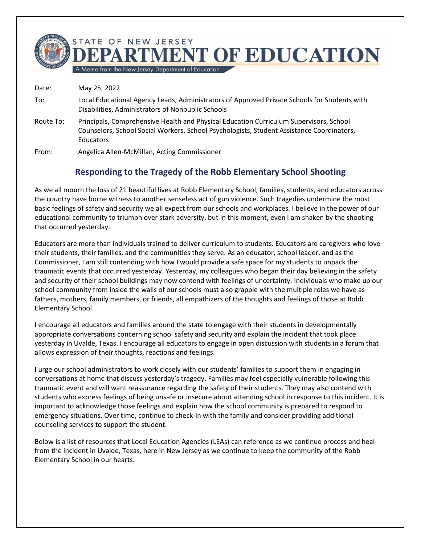

A Memo from the New Jersey Department of Education

Date: May 25, 2022 To: Local Educational Agency Leads, Administrators of Approved Private Schools for Students with Disabilities, Administrators of Nonpublic Schools Route To: Principals, Comprehensive Health and Physical Education Curriculum Supervisors, School Counselors, School Social Workers, School Psychologists, Student Assistance Coordinators, **Educators** 

From: Angelica Allen-McMillan, Acting Commissioner

## **Responding to the Tragedy of the Robb Elementary School Shooting**

As we all mourn the loss of 21 beautiful lives at Robb Elementary School, families, students, and educators across the country have borne witness to another senseless act of gun violence. Such tragedies undermine the most basic feelings of safety and security we all expect from our schools and workplaces. I believe in the power of our educational community to triumph over stark adversity, but in this moment, even I am shaken by the shooting that occurred yesterday.

Educators are more than individuals trained to deliver curriculum to students. Educators are caregivers who love their students, their families, and the communities they serve. As an educator, school leader, and as the Commissioner, I am still contending with how I would provide a safe space for my students to unpack the traumatic events that occurred yesterday. Yesterday, my colleagues who began their day believing in the safety and security of their school buildings may now contend with feelings of uncertainty. Individuals who make up our school community from inside the walls of our schools must also grapple with the multiple roles we have as fathers, mothers, family members, or friends, all empathizers of the thoughts and feelings of those at Robb Elementary School.

I encourage all educators and families around the state to engage with their students in developmentally appropriate conversations concerning school safety and security and explain the incident that took place yesterday in Uvalde, Texas. I encourage all educators to engage in open discussion with students in a forum that allows expression of their thoughts, reactions and feelings.

I urge our school administrators to work closely with our students' families to support them in engaging in conversations at home that discuss yesterday's tragedy. Families may feel especially vulnerable following this traumatic event and will want reassurance regarding the safety of their students. They may also contend with students who express feelings of being unsafe or insecure about attending school in response to this incident. It is important to acknowledge those feelings and explain how the school community is prepared to respond to emergency situations. Over time, continue to check-in with the family and consider providing additional counseling services to support the student.

Below is a list of resources that Local Education Agencies (LEAs) can reference as we continue process and heal from the incident in Uvalde, Texas, here in New Jersey as we continue to keep the community of the Robb Elementary School in our hearts.